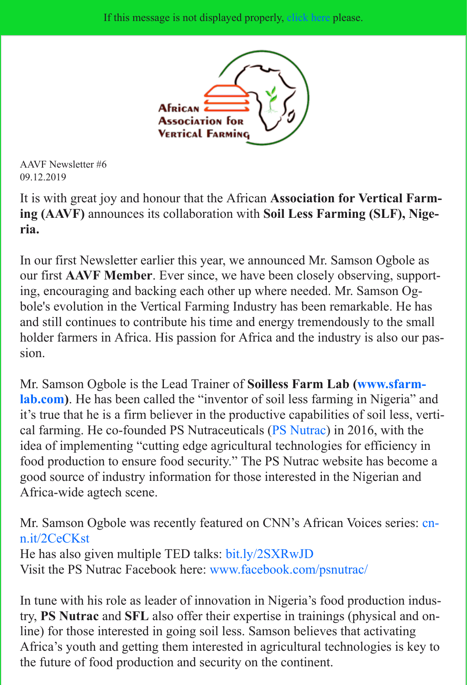

AAVF Newsletter #6 09.12.2019

[It is with great joy and honour that the African](http://www.aavf.ch/) **Association for Vertical Farming (AAVF)** announces its collaboration with **Soil Less Farming (SLF), Nigeria.** 

In our first Newsletter earlier this year, we announced Mr. Samson Ogbole as our first **AAVF Member**. Ever since, we have been closely observing, supporting, encouraging and backing each other up where needed. Mr. Samson Ogbole's evolution in the Vertical Farming Industry has been remarkable. He has and still continues to contribute his time and energy tremendously to the small holder farmers in Africa. His passion for Africa and the industry is also our passion.

Mr. Samson Ogbole is the Lead Trainer of **Soilless Farm Lab (www.sfarmlab.com)**. He has been called the "inventor of soil less farming in Nigeria" and it's true that he is a firm believer in the productive capabilities of soil less, vertical farming. He co-founded PS Nutraceuticals (PS Nutrac) in 2016, with the idea of implementing "cutting edge agricultural technologies for efficiency in food production to ensure food security." The PS Nutrac website has become a [good source of industry information for those interested in the Nigerian and](http://www.sfarmlab.com/) Africa-wide agtech scene.

Mr. Samson Ogbole was recently featured on C[NN's Afric](https://www.psnutrac.org/)an Voices series: cnn.it/2CeCKst

He has also given multiple TED talks: bit.ly/2SXRwJD Visit the PS Nutrac Facebook here: www.facebook.com/psnutrac/

In tune with his role as leader of innovation in Nigeria's food production industry, **PS Nutrac** and **SFL** also offer their expertise in trainings (physical and on[line\) for those interested in going soil less. Samson believes that activating](https://cnn.it/2CeCKst) Africa's youth and getting them interested in agricultural technologies is key to the future of food production and s[ecur](https://www.facebook.com/psnutrac/)[ity on the contin](https://bit.ly/2SXRwJD)[ent.](https://www.facebook.com/psnutrac/)